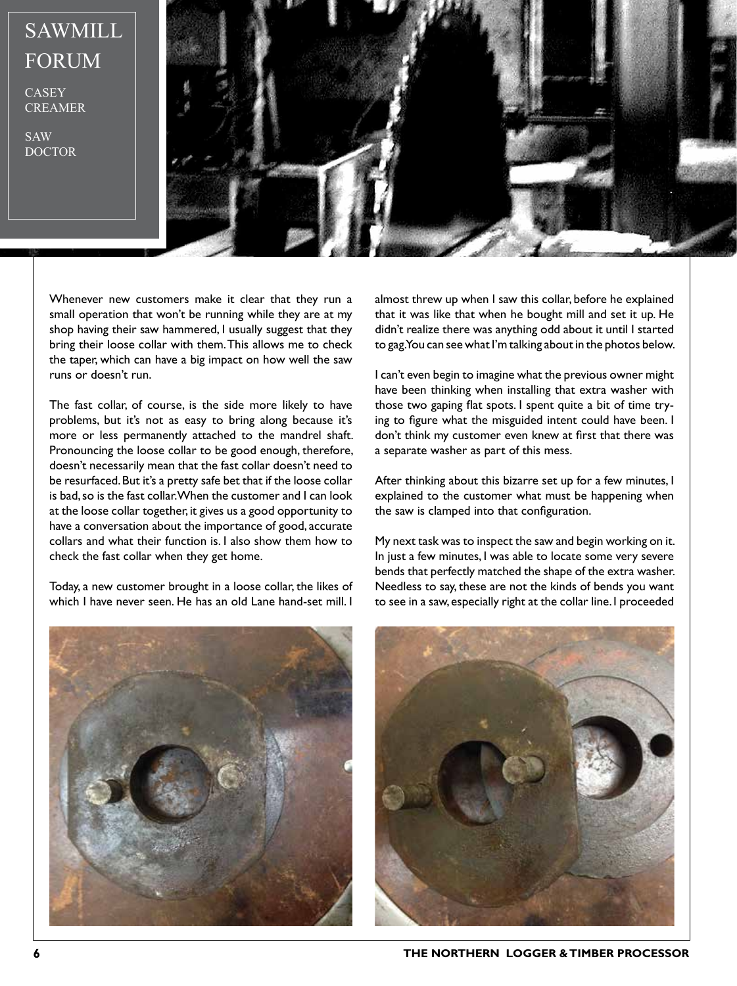## SAWMILL FORUM

CASEY CREAMER

SAW DOCTOR



Whenever new customers make it clear that they run a small operation that won't be running while they are at my shop having their saw hammered, I usually suggest that they bring their loose collar with them. This allows me to check the taper, which can have a big impact on how well the saw runs or doesn't run.

The fast collar, of course, is the side more likely to have problems, but it's not as easy to bring along because it's more or less permanently attached to the mandrel shaft. Pronouncing the loose collar to be good enough, therefore, doesn't necessarily mean that the fast collar doesn't need to be resurfaced. But it's a pretty safe bet that if the loose collar is bad, so is the fast collar. When the customer and I can look at the loose collar together, it gives us a good opportunity to have a conversation about the importance of good, accurate collars and what their function is. I also show them how to check the fast collar when they get home.

Today, a new customer brought in a loose collar, the likes of which I have never seen. He has an old Lane hand-set mill. I

almost threw up when I saw this collar, before he explained that it was like that when he bought mill and set it up. He didn't realize there was anything odd about it until I started to gag. You can see what I'm talking about in the photos below.

I can't even begin to imagine what the previous owner might have been thinking when installing that extra washer with those two gaping flat spots. I spent quite a bit of time trying to figure what the misguided intent could have been. I don't think my customer even knew at first that there was a separate washer as part of this mess.

After thinking about this bizarre set up for a few minutes, I explained to the customer what must be happening when the saw is clamped into that configuration.

My next task was to inspect the saw and begin working on it. In just a few minutes, I was able to locate some very severe bends that perfectly matched the shape of the extra washer. Needless to say, these are not the kinds of bends you want to see in a saw, especially right at the collar line. I proceeded